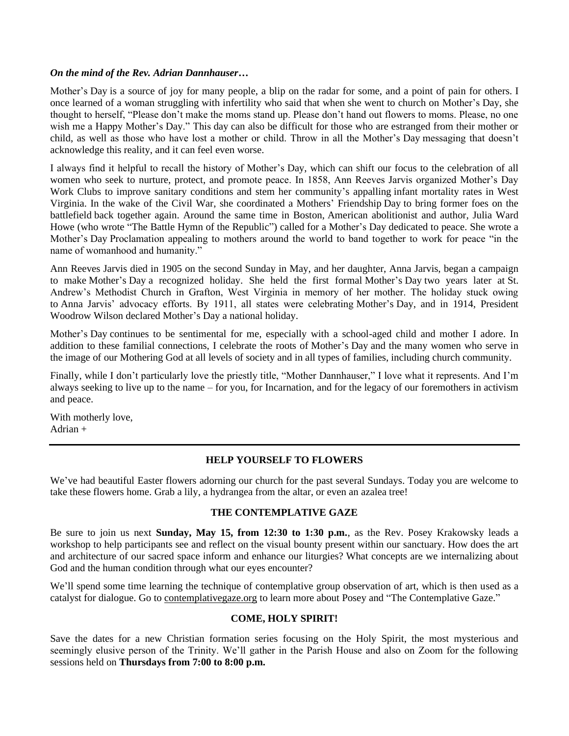### *On the mind of the Rev. Adrian Dannhauser…*

Mother's Day is a source of joy for many people, a blip on the radar for some, and a point of pain for others. I once learned of a woman struggling with infertility who said that when she went to church on Mother's Day, she thought to herself, "Please don't make the moms stand up. Please don't hand out flowers to moms. Please, no one wish me a Happy Mother's Day." This day can also be difficult for those who are estranged from their mother or child, as well as those who have lost a mother or child. Throw in all the Mother's Day messaging that doesn't acknowledge this reality, and it can feel even worse.

I always find it helpful to recall the history of Mother's Day, which can shift our focus to the celebration of all women who seek to nurture, protect, and promote peace. In 1858, Ann Reeves Jarvis organized Mother's Day Work Clubs to improve sanitary conditions and stem her community's appalling infant mortality rates in West Virginia. In the wake of the Civil War, she coordinated a Mothers' Friendship Day to bring former foes on the battlefield back together again. Around the same time in Boston, American abolitionist and author, Julia Ward Howe (who wrote "The Battle Hymn of the Republic") called for a Mother's Day dedicated to peace. She wrote a Mother's Day Proclamation appealing to mothers around the world to band together to work for peace "in the name of womanhood and humanity."

Ann Reeves Jarvis died in 1905 on the second Sunday in May, and her daughter, Anna Jarvis, began a campaign to make Mother's Day a recognized holiday. She held the first formal Mother's Day two years later at St. Andrew's Methodist Church in Grafton, West Virginia in memory of her mother. The holiday stuck owing to Anna Jarvis' advocacy efforts. By 1911, all states were celebrating Mother's Day, and in 1914, President Woodrow Wilson declared Mother's Day a national holiday.

Mother's Day continues to be sentimental for me, especially with a school-aged child and mother I adore. In addition to these familial connections, I celebrate the roots of Mother's Day and the many women who serve in the image of our Mothering God at all levels of society and in all types of families, including church community.

Finally, while I don't particularly love the priestly title, "Mother Dannhauser," I love what it represents. And I'm always seeking to live up to the name – for you, for Incarnation, and for the legacy of our foremothers in activism and peace.

With motherly love, Adrian +

# **HELP YOURSELF TO FLOWERS**

We've had beautiful Easter flowers adorning our church for the past several Sundays. Today you are welcome to take these flowers home. Grab a lily, a hydrangea from the altar, or even an azalea tree!

## **THE CONTEMPLATIVE GAZE**

Be sure to join us next **Sunday, May 15, from 12:30 to 1:30 p.m.**, as the Rev. Posey Krakowsky leads a workshop to help participants see and reflect on the visual bounty present within our sanctuary. How does the art and architecture of our sacred space inform and enhance our liturgies? What concepts are we internalizing about God and the human condition through what our eyes encounter?

We'll spend some time learning the technique of contemplative group observation of art, which is then used as a catalyst for dialogue. Go to [contemplativegaze.org](http://contemplativegaze.org/) to learn more about Posey and "The Contemplative Gaze."

## **COME, HOLY SPIRIT!**

Save the dates for a new Christian formation series focusing on the Holy Spirit, the most mysterious and seemingly elusive person of the Trinity. We'll gather in the Parish House and also on Zoom for the following sessions held on **Thursdays from 7:00 to 8:00 p.m.**